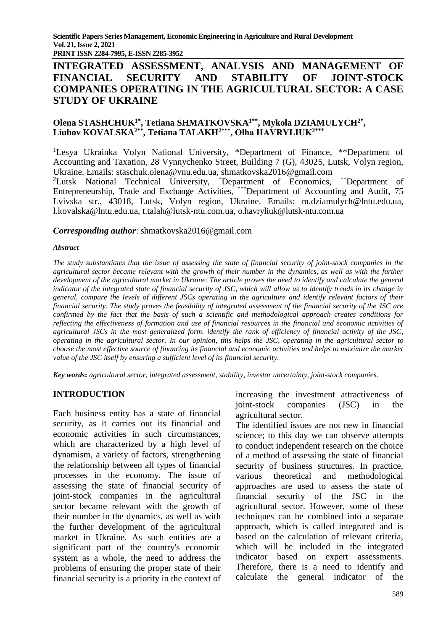**PRINT ISSN 2284-7995, E-ISSN 2285-3952** 

# **INTEGRATED ASSESSMENT, ANALYSIS AND MANAGEMENT OF FINANCIAL SECURITY AND STABILITY OF JOINT-STOCK COMPANIES OPERATING IN THE AGRICULTURAL SECTOR: A CASE STUDY OF UKRAINE**

## **Olena STASHCHUK1\* , Tetiana SHMATKOVSKA1\*\* , Mykola DZIAMULYCH2\* , Liubov KOVALSKA2\*\* , Tetiana TALAKH2\*\*\* , Olha HAVRYLIUK2\*\*\***

<sup>1</sup>Lesya Ukrainka Volyn National University, \*Department of Finance, \*\*Department of Accounting and Taxation, 28 Vynnychenko Street, Building 7 (G), 43025, Lutsk, Volyn region, Ukraine. Emails: staschuk.olena@vnu.edu.ua, [shmatkovska2016@gmail.com](mailto:shmatkovska2016@gmail.com)

<sup>2</sup>Lutsk National Technical University, \*Department of Economics, \*\*Department of Entrepreneurship, Trade and Exchange Activities, \*\*\*Department of Accounting and Audit, 75 Lvivska str., 43018, Lutsk, Volyn region, Ukraine. Emails: m.dziamulych@lntu.edu.ua, l.kovalska@lntu.edu.ua, t.talah@lutsk-ntu.com.ua, [o.havryliuk@lutsk-ntu.com.ua](mailto:o.havryliuk@lutsk-ntu.com.ua)

### *Corresponding author*: [shmatkovska2016@gmail.com](mailto:shmatkovska2016@gmail.com)

### *Abstract*

*The study substantiates that the issue of assessing the state of financial security of joint-stock companies in the agricultural sector became relevant with the growth of their number in the dynamics, as well as with the further development of the agricultural market in Ukraine. The article proves the need to identify and calculate the general indicator of the integrated state of financial security of JSC, which will allow us to identify trends in its change in general, compare the levels of different JSCs operating in the agriculture and identify relevant factors of their financial security. The study proves the feasibility of integrated assessment of the financial security of the JSC are confirmed by the fact that the basis of such a scientific and methodological approach creates conditions for reflecting the effectiveness of formation and use of financial resources in the financial and economic activities of agricultural JSCs in the most generalized form. identify the rank of efficiency of financial activity of the JSC, operating in the agricultural sector. In our opinion, this helps the JSC, operating in the agricultural sector to choose the most effective source of financing its financial and economic activities and helps to maximize the market value of the JSC itself by ensuring a sufficient level of its financial security.*

*Key words***:** *agricultural sector, integrated assessment, stability, investor uncertainty*, *joint-stock companies.* 

### **INTRODUCTION**

Each business entity has a state of financial security, as it carries out its financial and economic activities in such circumstances, which are characterized by a high level of dynamism, a variety of factors, strengthening the relationship between all types of financial processes in the economy. The issue of assessing the state of financial security of joint-stock companies in the agricultural sector became relevant with the growth of their number in the dynamics, as well as with the further development of the agricultural market in Ukraine. As such entities are a significant part of the country's economic system as a whole, the need to address the problems of ensuring the proper state of their financial security is a priority in the context of increasing the investment attractiveness of joint-stock companies (JSC) in the agricultural sector.

The identified issues are not new in financial science; to this day we can observe attempts to conduct independent research on the choice of a method of assessing the state of financial security of business structures. In practice, various theoretical and methodological approaches are used to assess the state of financial security of the JSC in the agricultural sector. However, some of these techniques can be combined into a separate approach, which is called integrated and is based on the calculation of relevant criteria, which will be included in the integrated indicator based on expert assessments. Therefore, there is a need to identify and calculate the general indicator of the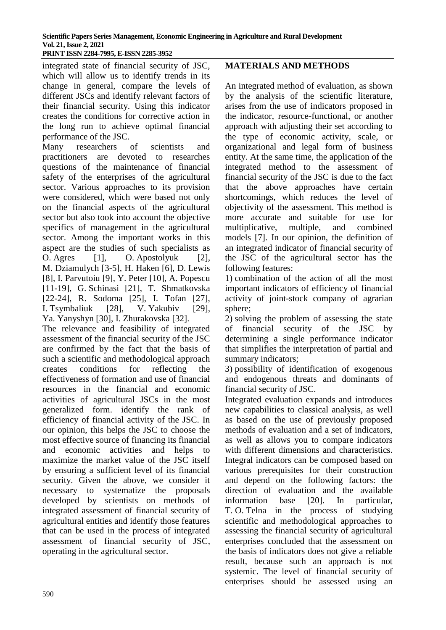integrated state of financial security of JSC, which will allow us to identify trends in its change in general, compare the levels of different JSCs and identify relevant factors of their financial security. Using this indicator creates the conditions for corrective action in the long run to achieve optimal financial performance of the JSC.

Many researchers of scientists and practitioners are devoted to researches questions of the maintenance of financial safety of the enterprises of the agricultural sector. Various approaches to its provision were considered, which were based not only on the financial aspects of the agricultural sector but also took into account the objective specifics of management in the agricultural sector. Among the important works in this aspect are the studies of such specialists as O. Agres [1], O. Apostolyuk [2], M. Dziamulych [3-5], H. Haken [6], D. Lewis [8], I. Parvutoiu [9], Y. Peter [10], A. Popescu [11-19], G. Schinasi [21], T. Shmatkovska [22-24], R. Sodoma [25], I. Tofan [27], I. Tsymbaliuk [28], V. Yakubiv [29], Ya. Yanyshyn [30], I. Zhurakovska [32].

The relevance and feasibility of integrated assessment of the financial security of the JSC are confirmed by the fact that the basis of such a scientific and methodological approach creates conditions for reflecting the effectiveness of formation and use of financial resources in the financial and economic activities of agricultural JSCs in the most generalized form. identify the rank of efficiency of financial activity of the JSC. In our opinion, this helps the JSC to choose the most effective source of financing its financial and economic activities and helps to maximize the market value of the JSC itself by ensuring a sufficient level of its financial security. Given the above, we consider it necessary to systematize the proposals developed by scientists on methods of integrated assessment of financial security of agricultural entities and identify those features that can be used in the process of integrated assessment of financial security of JSC, operating in the agricultural sector.

# **MATERIALS AND METHODS**

An integrated method of evaluation, as shown by the analysis of the scientific literature, arises from the use of indicators proposed in the indicator, resource-functional, or another approach with adjusting their set according to the type of economic activity, scale, or organizational and legal form of business entity. At the same time, the application of the integrated method to the assessment of financial security of the JSC is due to the fact that the above approaches have certain shortcomings, which reduces the level of objectivity of the assessment. This method is more accurate and suitable for use for multiplicative, multiple, and combined models [7]. In our opinion, the definition of an integrated indicator of financial security of the JSC of the agricultural sector has the following features:

1) combination of the action of all the most important indicators of efficiency of financial activity of joint-stock company of agrarian sphere;

2) solving the problem of assessing the state of financial security of the JSC by determining a single performance indicator that simplifies the interpretation of partial and summary indicators;

3) possibility of identification of exogenous and endogenous threats and dominants of financial security of JSC.

Integrated evaluation expands and introduces new capabilities to classical analysis, as well as based on the use of previously proposed methods of evaluation and a set of indicators, as well as allows you to compare indicators with different dimensions and characteristics. Integral indicators can be composed based on various prerequisites for their construction and depend on the following factors: the direction of evaluation and the available information base [20]. In particular, T. O. Telna in the process of studying scientific and methodological approaches to assessing the financial security of agricultural enterprises concluded that the assessment on the basis of indicators does not give a reliable result, because such an approach is not systemic. The level of financial security of enterprises should be assessed using an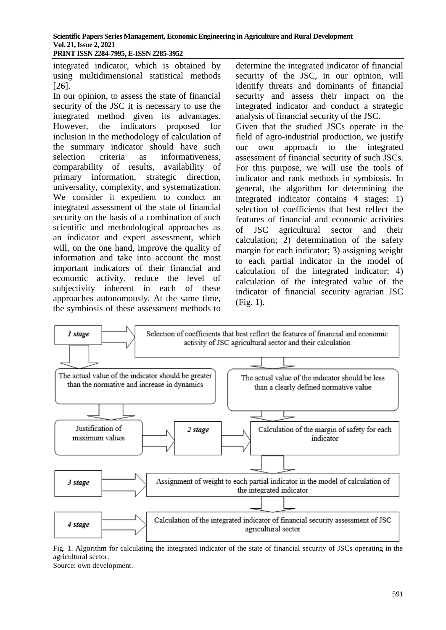integrated indicator, which is obtained by using multidimensional statistical methods [26].

In our opinion, to assess the state of financial security of the JSC it is necessary to use the integrated method given its advantages. However, the indicators proposed for inclusion in the methodology of calculation of the summary indicator should have such selection criteria as informativeness, comparability of results, availability of primary information, strategic direction, universality, complexity, and systematization. We consider it expedient to conduct an integrated assessment of the state of financial security on the basis of a combination of such scientific and methodological approaches as an indicator and expert assessment, which will, on the one hand, improve the quality of information and take into account the most important indicators of their financial and economic activity. reduce the level of subjectivity inherent in each of these approaches autonomously. At the same time, the symbiosis of these assessment methods to

determine the integrated indicator of financial security of the JSC, in our opinion, will identify threats and dominants of financial security and assess their impact on the integrated indicator and conduct a strategic analysis of financial security of the JSC.

Given that the studied JSCs operate in the field of agro-industrial production, we justify our own approach to the integrated assessment of financial security of such JSCs. For this purpose, we will use the tools of indicator and rank methods in symbiosis. In general, the algorithm for determining the integrated indicator contains 4 stages: 1) selection of coefficients that best reflect the features of financial and economic activities of JSC agricultural sector and their calculation; 2) determination of the safety margin for each indicator; 3) assigning weight to each partial indicator in the model of calculation of the integrated indicator; 4) calculation of the integrated value of the indicator of financial security agrarian JSC (Fig. 1).



Fig. 1. Algorithm for calculating the integrated indicator of the state of financial security of JSCs operating in the agricultural sector.

Source: own development.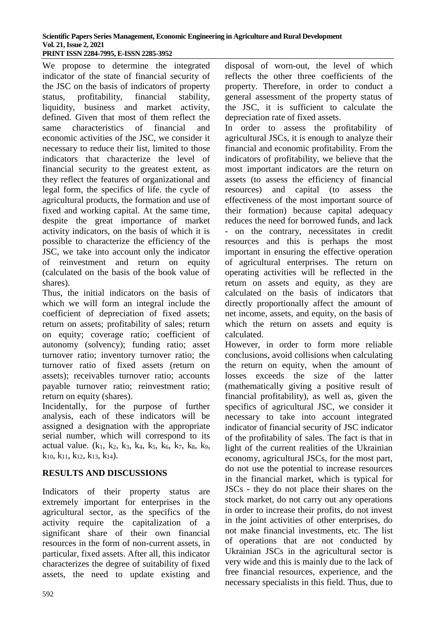We propose to determine the integrated indicator of the state of financial security of the JSC on the basis of indicators of property status, profitability, financial stability, liquidity, business and market activity, defined. Given that most of them reflect the same characteristics of financial and economic activities of the JSC, we consider it necessary to reduce their list, limited to those indicators that characterize the level of financial security to the greatest extent, as they reflect the features of organizational and legal form, the specifics of life. the cycle of agricultural products, the formation and use of fixed and working capital. At the same time, despite the great importance of market activity indicators, on the basis of which it is possible to characterize the efficiency of the JSC, we take into account only the indicator of reinvestment and return on equity (calculated on the basis of the book value of shares).

Thus, the initial indicators on the basis of which we will form an integral include the coefficient of depreciation of fixed assets; return on assets; profitability of sales; return on equity; coverage ratio; coefficient of autonomy (solvency); funding ratio; asset turnover ratio; inventory turnover ratio; the turnover ratio of fixed assets (return on assets); receivables turnover ratio; accounts payable turnover ratio; reinvestment ratio; return on equity (shares).

Incidentally, for the purpose of further analysis, each of these indicators will be assigned a designation with the appropriate serial number, which will correspond to its actual value.  $(k_1, k_2, k_3, k_4, k_5, k_6, k_7, k_8, k_9,$  $k_{10}$ ,  $k_{11}$ ,  $k_{12}$ ,  $k_{13}$ ,  $k_{14}$ ).

# **RESULTS AND DISCUSSIONS**

Indicators of their property status are extremely important for enterprises in the agricultural sector, as the specifics of the activity require the capitalization of a significant share of their own financial resources in the form of non-current assets, in particular, fixed assets. After all, this indicator characterizes the degree of suitability of fixed assets, the need to update existing and disposal of worn-out, the level of which reflects the other three coefficients of the property. Therefore, in order to conduct a general assessment of the property status of the JSC, it is sufficient to calculate the depreciation rate of fixed assets.

In order to assess the profitability of agricultural JSCs, it is enough to analyze their financial and economic profitability. From the indicators of profitability, we believe that the most important indicators are the return on assets (to assess the efficiency of financial resources) and capital (to assess the effectiveness of the most important source of their formation) because capital adequacy reduces the need for borrowed funds, and lack - on the contrary, necessitates in credit resources and this is perhaps the most important in ensuring the effective operation of agricultural enterprises. The return on operating activities will be reflected in the return on assets and equity, as they are calculated on the basis of indicators that directly proportionally affect the amount of net income, assets, and equity, on the basis of which the return on assets and equity is calculated.

However, in order to form more reliable conclusions, avoid collisions when calculating the return on equity, when the amount of losses exceeds the size of the latter (mathematically giving a positive result of financial profitability), as well as, given the specifics of agricultural JSC, we consider it necessary to take into account integrated indicator of financial security of JSC indicator of the profitability of sales. The fact is that in light of the current realities of the Ukrainian economy, agricultural JSCs, for the most part, do not use the potential to increase resources in the financial market, which is typical for JSCs - they do not place their shares on the stock market, do not carry out any operations in order to increase their profits, do not invest in the joint activities of other enterprises, do not make financial investments, etc. The list of operations that are not conducted by Ukrainian JSCs in the agricultural sector is very wide and this is mainly due to the lack of free financial resources, experience, and the necessary specialists in this field. Thus, due to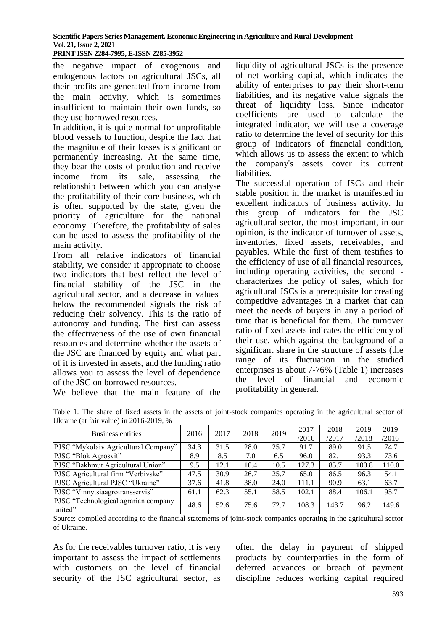the negative impact of exogenous and endogenous factors on agricultural JSCs, all their profits are generated from income from the main activity, which is sometimes insufficient to maintain their own funds, so they use borrowed resources.

In addition, it is quite normal for unprofitable blood vessels to function, despite the fact that the magnitude of their losses is significant or permanently increasing. At the same time, they bear the costs of production and receive income from its sale, assessing the relationship between which you can analyse the profitability of their core business, which is often supported by the state, given the priority of agriculture for the national economy. Therefore, the profitability of sales can be used to assess the profitability of the main activity.

From all relative indicators of financial stability, we consider it appropriate to choose two indicators that best reflect the level of financial stability of the JSC in the agricultural sector, and a decrease in values below the recommended signals the risk of reducing their solvency. This is the ratio of autonomy and funding. The first can assess the effectiveness of the use of own financial resources and determine whether the assets of the JSC are financed by equity and what part of it is invested in assets, and the funding ratio allows you to assess the level of dependence of the JSC on borrowed resources.

We believe that the main feature of the

liquidity of agricultural JSCs is the presence of net working capital, which indicates the ability of enterprises to pay their short-term liabilities, and its negative value signals the threat of liquidity loss. Since indicator coefficients are used to calculate the integrated indicator, we will use a coverage ratio to determine the level of security for this group of indicators of financial condition, which allows us to assess the extent to which the company's assets cover its current liabilities.

The successful operation of JSCs and their stable position in the market is manifested in excellent indicators of business activity. In this group of indicators for the JSC agricultural sector, the most important, in our opinion, is the indicator of turnover of assets, inventories, fixed assets, receivables, and payables. While the first of them testifies to the efficiency of use of all financial resources, including operating activities, the second characterizes the policy of sales, which for agricultural JSCs is a prerequisite for creating competitive advantages in a market that can meet the needs of buyers in any a period of time that is beneficial for them. The turnover ratio of fixed assets indicates the efficiency of their use, which against the background of a significant share in the structure of assets (the range of its fluctuation in the studied enterprises is about 7-76% (Table 1) increases the level of financial and economic profitability in general.

| UNIQUE (at Tail Value) III $2010-2019$ , $\%$   |      |      |      |      |       |       |       |       |
|-------------------------------------------------|------|------|------|------|-------|-------|-------|-------|
| <b>Business entities</b>                        | 2016 | 2017 | 2018 | 2019 | 2017  | 2018  | 2019  | 2019  |
|                                                 |      |      |      |      | /2016 | /2017 | /2018 | /2016 |
| PJSC "Mykolaiv Agricultural Company"            | 34.3 | 31.5 | 28.0 | 25.7 | 91.7  | 89.0  | 91.5  | 74.7  |
| PJSC "Blok Agrosvit"                            | 8.9  | 8.5  | 7.0  | 6.5  | 96.0  | 82.1  | 93.3  | 73.6  |
| PJSC "Bakhmut Agricultural Union"               | 9.5  | 12.1 | 10.4 | 10.5 | 127.3 | 85.7  | 100.8 | 110.0 |
| PJSC Agricultural firm "Verbivske"              | 47.5 | 30.9 | 26.7 | 25.7 | 65.0  | 86.5  | 96.3  | 54.1  |
| PJSC Agricultural PJSC "Ukraine"                | 37.6 | 41.8 | 38.0 | 24.0 | 111.1 | 90.9  | 63.1  | 63.7  |
| PJSC "Vinnytsiaagrotransservis"                 | 61.1 | 62.3 | 55.1 | 58.5 | 102.1 | 88.4  | 106.1 | 95.7  |
| PJSC "Technological agrarian company<br>united" | 48.6 | 52.6 | 75.6 | 72.7 | 108.3 | 143.7 | 96.2  | 149.6 |

Table 1. The share of fixed assets in the assets of joint-stock companies operating in the agricultural sector of  $U_1$ <sub>ration</sub> (at fair value) in 2016-2010,  $\omega$ 

Source: compiled according to the financial statements of joint-stock companies operating in the agricultural sector of Ukraine.

As for the receivables turnover ratio, it is very important to assess the impact of settlements with customers on the level of financial security of the JSC agricultural sector, as often the delay in payment of shipped products by counterparties in the form of deferred advances or breach of payment discipline reduces working capital required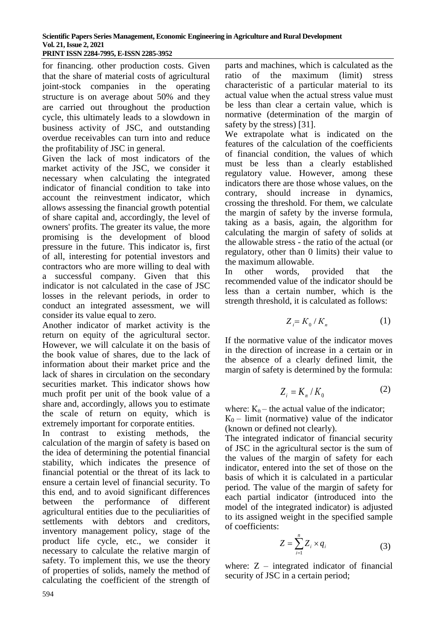for financing. other production costs. Given that the share of material costs of agricultural joint-stock companies in the operating structure is on average about 50% and they are carried out throughout the production cycle, this ultimately leads to a slowdown in business activity of JSC, and outstanding overdue receivables can turn into and reduce the profitability of JSC in general.

Given the lack of most indicators of the market activity of the JSC, we consider it necessary when calculating the integrated indicator of financial condition to take into account the reinvestment indicator, which allows assessing the financial growth potential of share capital and, accordingly, the level of owners' profits. The greater its value, the more promising is the development of blood pressure in the future. This indicator is, first of all, interesting for potential investors and contractors who are more willing to deal with a successful company. Given that this indicator is not calculated in the case of JSC losses in the relevant periods, in order to conduct an integrated assessment, we will consider its value equal to zero.

Another indicator of market activity is the return on equity of the agricultural sector. However, we will calculate it on the basis of the book value of shares, due to the lack of information about their market price and the lack of shares in circulation on the secondary securities market. This indicator shows how much profit per unit of the book value of a share and, accordingly, allows you to estimate the scale of return on equity, which is extremely important for corporate entities.

Sonder to wave vectore the agricultural sector<br>
Homother indicator of market activity is the<br>
return on equity of the agricultural sector.<br>
However, we will calculate it on the basis of<br>
the hone the momention about their In contrast to existing methods, the calculation of the margin of safety is based on the idea of determining the potential financial stability, which indicates the presence of financial potential or the threat of its lack to ensure a certain level of financial security. To this end, and to avoid significant differences between the performance of different agricultural entities due to the peculiarities of settlements with debtors and creditors, inventory management policy, stage of the product life cycle, etc., we consider it necessary to calculate the relative margin of safety. To implement this, we use the theory of properties of solids, namely the method of calculating the coefficient of the strength of

parts and machines, which is calculated as the ratio of the maximum (limit) stress characteristic of a particular material to its actual value when the actual stress value must be less than clear a certain value, which is normative (determination of the margin of safety by the stress) [31].

We extrapolate what is indicated on the features of the calculation of the coefficients of financial condition, the values of which must be less than a clearly established regulatory value. However, among these indicators there are those whose values, on the contrary, should increase in dynamics, crossing the threshold. For them, we calculate the margin of safety by the inverse formula, taking as a basis, again, the algorithm for calculating the margin of safety of solids at the allowable stress - the ratio of the actual (or regulatory, other than 0 limits) their value to the maximum allowable.

In other words, provided that the recommended value of the indicator should be less than a certain number, which is the strength threshold, it is calculated as follows:

$$
Z_i = K_0 / K_n \tag{1}
$$

If the normative value of the indicator moves in the direction of increase in a certain or in the absence of a clearly defined limit, the margin of safety is determined by the formula:

$$
Z_i = K_n / K_0 \tag{2}
$$

where:  $K_n$  – the actual value of the indicator;

 $K_0$  – limit (normative) value of the indicator (known or defined not clearly).

The integrated indicator of financial security of JSC in the agricultural sector is the sum of the values of the margin of safety for each indicator, entered into the set of those on the basis of which it is calculated in a particular period. The value of the margin of safety for each partial indicator (introduced into the model of the integrated indicator) is adjusted to its assigned weight in the specified sample of coefficients:

$$
Z = \sum_{i=1}^{n} Z_i \times q_i \tag{3}
$$

where:  $Z$  – integrated indicator of financial security of JSC in a certain period;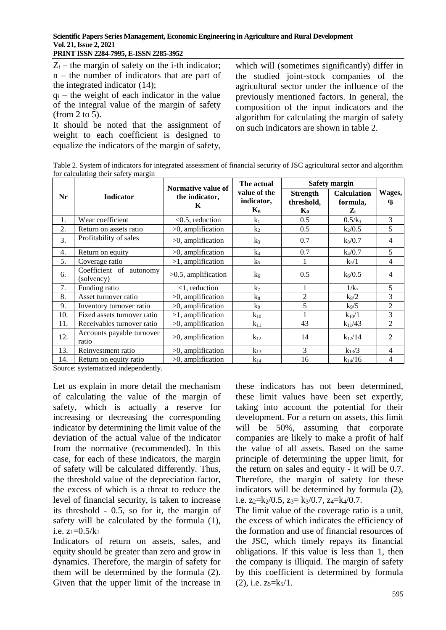$Z_i$  – the margin of safety on the *i*-th indicator; n – the number of indicators that are part of the integrated indicator (14);

 $q_i$  – the weight of each indicator in the value of the integral value of the margin of safety (from 2 to 5).

It should be noted that the assignment of weight to each coefficient is designed to equalize the indicators of the margin of safety,

which will (sometimes significantly) differ in the studied joint-stock companies of the agricultural sector under the influence of the previously mentioned factors. In general, the composition of the input indicators and the algorithm for calculating the margin of safety on such indicators are shown in table 2.

Table 2. System of indicators for integrated assessment of financial security of JSC agricultural sector and algorithm for calculating their safety margin

|     |                                       | Normative value of     |                                     | <b>Safety margin</b>                            |                                         |                     |
|-----|---------------------------------------|------------------------|-------------------------------------|-------------------------------------------------|-----------------------------------------|---------------------|
| Nr  | <b>Indicator</b>                      | the indicator,<br>K    | value of the<br>indicator,<br>$K_n$ | <b>Strength</b><br>threshold,<br>$\mathbf{K}_0$ | <b>Calculation</b><br>formula,<br>$Z_i$ | Wages,<br><b>qi</b> |
| 1.  | Wear coefficient                      | $<$ 0.5, reduction     | k <sub>1</sub>                      | 0.5                                             | $0.5/k_1$                               | 3                   |
| 2.  | Return on assets ratio                | $>0$ , amplification   | $k_2$                               | 0.5                                             | $k_2/0.5$                               | 5                   |
| 3.  | Profitability of sales                | $>0$ , amplification   | $k_3$                               | 0.7                                             | $k_3/0.7$                               | $\overline{4}$      |
| 4.  | Return on equity                      | $>0$ , amplification   | $k_4$                               | 0.7                                             | $k_4/0.7$                               | 5                   |
| 5.  | Coverage ratio                        | $>1$ , amplification   | $k_5$                               |                                                 | $k_5/1$                                 | $\overline{4}$      |
| 6.  | Coefficient of autonomy<br>(solvency) | $>0.5$ , amplification | k <sub>6</sub>                      | 0.5                                             | $k_6/0.5$                               | 4                   |
| 7.  | Funding ratio                         | $<$ 1, reduction       | $k_7$                               | 1                                               | 1/k <sub>7</sub>                        | 5                   |
| 8.  | Asset turnover ratio                  | $>0$ , amplification   | $k_8$                               | $\overline{c}$                                  | $k_8/2$                                 | 3                   |
| 9.  | Inventory turnover ratio              | $>0$ , amplification   | k9                                  | 5                                               | $k_9/5$                                 | $\overline{2}$      |
| 10. | Fixed assets turnover ratio           | $>1$ , amplification   | $k_{10}$                            |                                                 | $k_{10}/1$                              | 3                   |
| 11. | Receivables turnover ratio            | $>0$ , amplification   | $k_{11}$                            | 43                                              | $k_{11}/43$                             | 2                   |
| 12. | Accounts payable turnover<br>ratio    | $>0$ , amplification   | $k_{12}$                            | 14                                              | $k_{12}/14$                             | 2                   |
| 13. | Reinvestment ratio                    | $>0$ , amplification   | $k_{13}$                            | 3                                               | $k_{13}/3$                              | $\overline{4}$      |
| 14. | Return on equity ratio                | $>0$ , amplification   | $k_{14}$                            | 16                                              | $k_{14}/16$                             | 4                   |

Source: systematized independently.

Let us explain in more detail the mechanism of calculating the value of the margin of safety, which is actually a reserve for increasing or decreasing the corresponding indicator by determining the limit value of the deviation of the actual value of the indicator from the normative (recommended). In this case, for each of these indicators, the margin of safety will be calculated differently. Thus, the threshold value of the depreciation factor, the excess of which is a threat to reduce the level of financial security, is taken to increase its threshold - 0.5, so for it, the margin of safety will be calculated by the formula (1), i.e.  $z_1=0.5/k_1$ 

Indicators of return on assets, sales, and equity should be greater than zero and grow in dynamics. Therefore, the margin of safety for them will be determined by the formula (2). Given that the upper limit of the increase in these indicators has not been determined, these limit values have been set expertly, taking into account the potential for their development. For a return on assets, this limit will be 50%, assuming that corporate companies are likely to make a profit of half the value of all assets. Based on the same principle of determining the upper limit, for the return on sales and equity - it will be 0.7. Therefore, the margin of safety for these indicators will be determined by formula (2), i.e.  $z_2=k_2/0.5$ ,  $z_3=k_3/0.7$ ,  $z_4=k_4/0.7$ .

The limit value of the coverage ratio is a unit, the excess of which indicates the efficiency of the formation and use of financial resources of the JSC, which timely repays its financial obligations. If this value is less than 1, then the company is illiquid. The margin of safety by this coefficient is determined by formula  $(2)$ , i.e.  $z_5=k_5/1$ .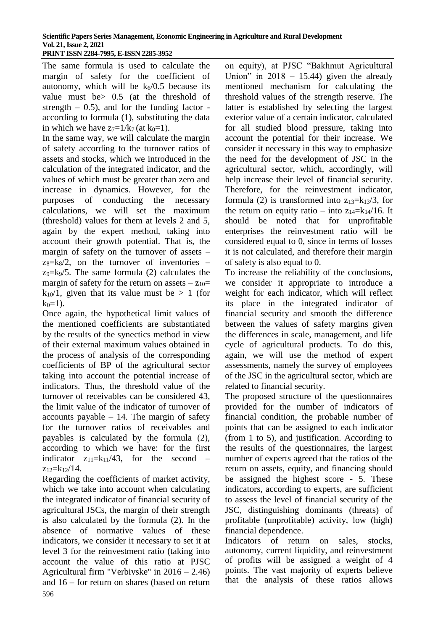The same formula is used to calculate the margin of safety for the coefficient of autonomy, which will be  $k_6/0.5$  because its value must be> 0.5 (at the threshold of strength  $-$  0.5), and for the funding factor according to formula (1), substituting the data in which we have  $z_7=1/k_7$  (at  $k_0=1$ ).

In the same way, we will calculate the margin of safety according to the turnover ratios of assets and stocks, which we introduced in the calculation of the integrated indicator, and the values of which must be greater than zero and increase in dynamics. However, for the purposes of conducting the necessary calculations, we will set the maximum (threshold) values for them at levels 2 and 5, again by the expert method, taking into account their growth potential. That is, the margin of safety on the turnover of assets –  $z_8 = \frac{k}{2}$ , on the turnover of inventories –  $z_9=k_9/5$ . The same formula (2) calculates the margin of safety for the return on assets  $-z_{10}$ =  $k_1$ <sup>0</sup>/1, given that its value must be > 1 (for  $k_0=1$ ).

Once again, the hypothetical limit values of the mentioned coefficients are substantiated by the results of the synectics method in view of their external maximum values obtained in the process of analysis of the corresponding coefficients of BP of the agricultural sector taking into account the potential increase of indicators. Thus, the threshold value of the turnover of receivables can be considered 43, the limit value of the indicator of turnover of accounts payable  $-14$ . The margin of safety for the turnover ratios of receivables and payables is calculated by the formula (2), according to which we have: for the first indicator  $z_{11} = k_{11}/43$ , for the second –  $z_{12}=k_{12}/14$ .

596 Regarding the coefficients of market activity, which we take into account when calculating the integrated indicator of financial security of agricultural JSCs, the margin of their strength is also calculated by the formula (2). In the absence of normative values of these indicators, we consider it necessary to set it at level 3 for the reinvestment ratio (taking into account the value of this ratio at PJSC Agricultural firm "Verbivske" in 2016 – 2.46) and 16 – for return on shares (based on return

on equity), at PJSC "Bakhmut Agricultural Union" in  $2018 - 15.44$ ) given the already mentioned mechanism for calculating the threshold values of the strength reserve. The latter is established by selecting the largest exterior value of a certain indicator, calculated for all studied blood pressure, taking into account the potential for their increase. We consider it necessary in this way to emphasize the need for the development of JSC in the agricultural sector, which, accordingly, will help increase their level of financial security. Therefore, for the reinvestment indicator, formula (2) is transformed into  $z_{13}=k_{13}/3$ , for the return on equity ratio – into  $z_{14}=k_{14}/16$ . It should be noted that for unprofitable enterprises the reinvestment ratio will be considered equal to 0, since in terms of losses it is not calculated, and therefore their margin of safety is also equal to 0.

To increase the reliability of the conclusions, we consider it appropriate to introduce a weight for each indicator, which will reflect its place in the integrated indicator of financial security and smooth the difference between the values of safety margins given the differences in scale, management, and life cycle of agricultural products. To do this, again, we will use the method of expert assessments, namely the survey of employees of the JSC in the agricultural sector, which are related to financial security.

The proposed structure of the questionnaires provided for the number of indicators of financial condition, the probable number of points that can be assigned to each indicator (from 1 to 5), and justification. According to the results of the questionnaires, the largest number of experts agreed that the ratios of the return on assets, equity, and financing should be assigned the highest score - 5. These indicators, according to experts, are sufficient to assess the level of financial security of the JSC, distinguishing dominants (threats) of profitable (unprofitable) activity, low (high) financial dependence.

Indicators of return on sales, stocks, autonomy, current liquidity, and reinvestment of profits will be assigned a weight of 4 points. The vast majority of experts believe that the analysis of these ratios allows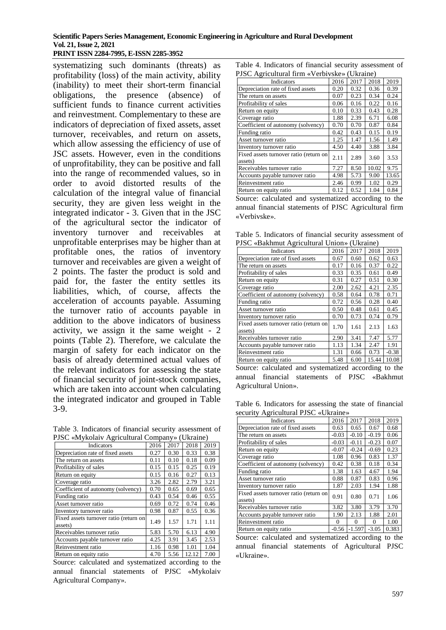#### **Scientific Papers Series Management, Economic Engineering in Agriculture and Rural Development Vol. 21, Issue 2, 2021 PRINT ISSN 2284-7995, E-ISSN 2285-3952**

systematizing such dominants (threats) as profitability (loss) of the main activity, ability (inability) to meet their short-term financial obligations, the presence (absence) of sufficient funds to finance current activities and reinvestment. Complementary to these are indicators of depreciation of fixed assets, asset turnover, receivables, and return on assets, which allow assessing the efficiency of use of JSC assets. However, even in the conditions of unprofitability, they can be positive and fall into the range of recommended values, so in order to avoid distorted results of the calculation of the integral value of financial security, they are given less weight in the integrated indicator - 3. Given that in the JSC of the agricultural sector the indicator of inventory turnover and receivables at unprofitable enterprises may be higher than at profitable ones, the ratios of inventory turnover and receivables are given a weight of 2 points. The faster the product is sold and paid for, the faster the entity settles its liabilities, which, of course, affects the acceleration of accounts payable. Assuming the turnover ratio of accounts payable in addition to the above indicators of business activity, we assign it the same weight - 2 points (Table 2). Therefore, we calculate the margin of safety for each indicator on the basis of already determined actual values of the relevant indicators for assessing the state of financial security of joint-stock companies, which are taken into account when calculating the integrated indicator and grouped in Table 3-9.

Table 3. Indicators of financial security assessment of PJSC «Mykolaiv Agricultural Company» (Ukraine)

| Indicators                                        | 2016 | 2017 | 2018  | 2019 |
|---------------------------------------------------|------|------|-------|------|
| Depreciation rate of fixed assets                 | 0.27 | 0.30 | 0.33  | 0.38 |
| The return on assets                              | 0.11 | 0.10 | 0.18  | 0.09 |
| Profitability of sales                            | 0.15 | 0.15 | 0.25  | 0.19 |
| Return on equity                                  | 0.15 | 0.16 | 0.27  | 0.13 |
| Coverage ratio                                    | 3.26 | 2.82 | 2.79  | 3.21 |
| Coefficient of autonomy (solvency)                | 0.70 | 0.65 | 0.69  | 0.65 |
| Funding ratio                                     | 0.43 | 0.54 | 0.46  | 0.55 |
| Asset turnover ratio                              | 0.69 | 0.72 | 0.74  | 0.46 |
| Inventory turnover ratio                          | 0.98 | 0.87 | 0.55  | 0.36 |
| Fixed assets turnover ratio (return on<br>assets) | 1.49 | 1.57 | 1.71  | 1.11 |
| Receivables turnover ratio                        | 5.83 | 5.70 | 6.13  | 4.90 |
| Accounts payable turnover ratio                   | 4.25 | 3.91 | 3.45  | 2.53 |
| Reinvestment ratio                                | 1.16 | 0.98 | 1.01  | 1.04 |
| Return on equity ratio                            | 4.70 | 5.56 | 12.12 | 7.00 |

Source: calculated and systematized according to the annual financial statements of PJSC «Mykolaiv Agricultural Company».

Table 4. Indicators of financial security assessment of PJSC Agricultural firm «Verbivske» (Ukraine)

| $130C$ explicational theory verbival verbind $\sim$  |      |      |       |       |  |  |
|------------------------------------------------------|------|------|-------|-------|--|--|
| Indicators                                           | 2016 | 2017 | 2018  | 2019  |  |  |
| Depreciation rate of fixed assets                    | 0.20 | 0.32 | 0.36  | 0.39  |  |  |
| The return on assets                                 | 0.07 | 0.23 | 0.34  | 0.24  |  |  |
| Profitability of sales                               | 0.06 | 0.16 | 0.22  | 0.16  |  |  |
| Return on equity                                     | 0.10 | 0.33 | 0.43  | 0.28  |  |  |
| Coverage ratio                                       | 1.88 | 2.39 | 6.71  | 6.08  |  |  |
| Coefficient of autonomy (solvency)                   | 0.70 | 0.70 | 0.87  | 0.84  |  |  |
| Funding ratio                                        | 0.42 | 0.43 | 0.15  | 0.19  |  |  |
| Asset turnover ratio                                 | 1.25 | 1.47 | 1.56  | 1.49  |  |  |
| Inventory turnover ratio                             | 4.50 | 4.40 | 3.88  | 3.84  |  |  |
| Fixed assets turnover ratio (return on<br>assets)    | 2.11 | 2.89 | 3.60  | 3.53  |  |  |
| Receivables turnover ratio                           | 7.27 | 8.50 | 10.02 | 9.75  |  |  |
| Accounts payable turnover ratio                      | 4.98 | 5.73 | 9.00  | 13.65 |  |  |
| Reinvestment ratio                                   | 2.46 | 0.99 | 1.02  | 0.29  |  |  |
| Return on equity ratio                               | 0.12 | 0.52 | 1.04  | 0.84  |  |  |
| Source: calculated and systematized according to the |      |      |       |       |  |  |

annual financial statements of PJSC Agricultural firm «Verbivske».

Table 5. Indicators of financial security assessment of PJSC «Bakhmut Agricultural Union» (Ukraine)

| Indicators                                           | 2016 | 2017        | 2018  | 2019     |  |  |
|------------------------------------------------------|------|-------------|-------|----------|--|--|
| Depreciation rate of fixed assets                    | 0.67 | 0.60        | 0.62  | 0.63     |  |  |
| The return on assets                                 | 0.17 | 0.16        | 0.37  | 0.22     |  |  |
| Profitability of sales                               | 0.33 | 0.35        | 0.61  | 0.49     |  |  |
| Return on equity                                     | 0.31 | 0.27        | 0.51  | 0.30     |  |  |
| Coverage ratio                                       | 2.00 | 2.62        | 4.21  | 2.35     |  |  |
| Coefficient of autonomy (solvency)                   | 0.58 | 0.64        | 0.78  | 0.71     |  |  |
| Funding ratio                                        | 0.72 | 0.56        | 0.28  | 0.40     |  |  |
| Asset turnover ratio                                 | 0.50 | 0.48        | 0.61  | 0.45     |  |  |
| Inventory turnover ratio                             | 0.70 | 0.73        | 0.74  | 0.79     |  |  |
| Fixed assets turnover ratio (return on<br>assets)    | 1.70 | 1.61        | 2.13  | 1.63     |  |  |
| Receivables turnover ratio                           | 2.90 | 3.41        | 7.47  | 5.77     |  |  |
| Accounts payable turnover ratio                      | 1.13 | 1.34        | 2.47  | 1.91     |  |  |
| Reinvestment ratio                                   | 1.31 | 0.66        | 0.73  | $-0.38$  |  |  |
| Return on equity ratio                               | 5.48 | 6.00        | 15.44 | 10.08    |  |  |
| Source: calculated and systematized according to the |      |             |       |          |  |  |
| financial statements<br>annual                       | of   | <b>PJSC</b> |       | «Bakhmut |  |  |
| Agricultural Union».                                 |      |             |       |          |  |  |

Table 6. Indicators for assessing the state of financial security Agricultural PISC «Ukraine»

| $\sec$ and $\tan$ $\tan$ $\cot$ $\sin$ $\cot$ $\sin$ $\sin$ |          |                 |         |             |  |  |
|-------------------------------------------------------------|----------|-----------------|---------|-------------|--|--|
| Indicators                                                  | 2016     | 2017            | 2018    | 2019        |  |  |
| Depreciation rate of fixed assets                           | 0.63     | 0.65            | 0.67    | 0.68        |  |  |
| The return on assets                                        | $-0.03$  | $-0.10$         | $-0.19$ | 0.06        |  |  |
| Profitability of sales                                      | $-0.03$  | $-0.11$         | $-0.23$ | 0.07        |  |  |
| Return on equity                                            | $-0.07$  | $-0.24$         | $-0.69$ | 0.23        |  |  |
| Coverage ratio                                              | 1.08     | 0.96            | 0.83    | 1.37        |  |  |
| Coefficient of autonomy (solvency)                          | 0.42     | 0.38            | 0.18    | 0.34        |  |  |
| Funding ratio                                               | 1.38     | 1.63            | 4.67    | 1.94        |  |  |
| Asset turnover ratio                                        | 0.88     | 0.87            | 0.83    | 0.96        |  |  |
| Inventory turnover ratio                                    | 1.87     | 2.03            | 1.94    | 1.88        |  |  |
| Fixed assets turnover ratio (return on<br>assets)           | 0.91     | 0.80            | 0.71    | 1.06        |  |  |
| Receivables turnover ratio                                  | 3.82     | 3.80            | 3.79    | 3.70        |  |  |
| Accounts payable turnover ratio                             | 1.90     | 2.13            | 1.88    | 2.01        |  |  |
| Reinvestment ratio                                          | $\Omega$ | 0               | 0       | 1.00        |  |  |
| Return on equity ratio                                      | $-0.56$  | $-1.597 - 3.05$ |         | 0.383       |  |  |
| Source: calculated and systematized according to the        |          |                 |         |             |  |  |
| annual financial statements of Agricultural                 |          |                 |         | <b>PJSC</b> |  |  |
| «Ukraine».                                                  |          |                 |         |             |  |  |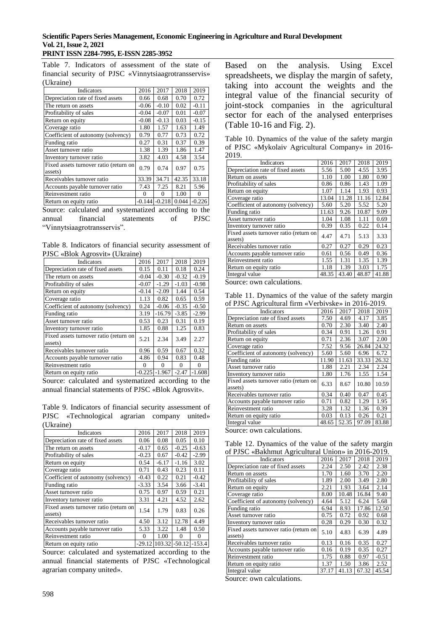#### **Scientific Papers Series Management, Economic Engineering in Agriculture and Rural Development Vol. 21, Issue 2, 2021 PRINT ISSN 2284-7995, E-ISSN 2285-3952**

Table 7. Indicators of assessment of the state of financial security of PJSC «Vinnytsiaagrotransservis» (Ukraine)

| Indicators                                           | 2016       | 2017     | 2018  | 2019        |  |  |
|------------------------------------------------------|------------|----------|-------|-------------|--|--|
| Depreciation rate of fixed assets                    | 0.66       | 0.68     | 0.70  | 0.72        |  |  |
| The return on assets                                 | $-0.06$    | $-0.10$  | 0.02  | $-0.11$     |  |  |
| Profitability of sales                               | $-0.04$    | $-0.07$  | 0.01  | $-0.07$     |  |  |
| Return on equity                                     | $-0.08$    | $-0.13$  | 0.03  | $-0.15$     |  |  |
| Coverage ratio                                       | 1.80       | 1.57     | 1.63  | 1.49        |  |  |
| Coefficient of autonomy (solvency)                   | 0.79       | 0.77     | 0.73  | 0.72        |  |  |
| Funding ratio                                        | 0.27       | 0.31     | 0.37  | 0.39        |  |  |
| Asset turnover ratio                                 | 1.38       | 1.39     | 1.86  | 1.47        |  |  |
| Inventory turnover ratio                             | 3.82       | 4.03     | 4.58  | 3.54        |  |  |
| Fixed assets turnover ratio (return on<br>assets)    | 0.79       | 0.74     | 0.97  | 0.75        |  |  |
| Receivables turnover ratio                           | 33.39      | 34.71    | 42.35 | 33.18       |  |  |
| Accounts payable turnover ratio                      | 7.43       | 7.25     | 8.21  | 5.96        |  |  |
| Reinvestment ratio                                   | $\Omega$   | 0        | 1.00  | 0           |  |  |
| Return on equity ratio                               | $-0.144$   | $-0.218$ | 0.044 | $-0.226$    |  |  |
| Source: calculated and systematized according to the |            |          |       |             |  |  |
| financial<br>annual                                  | statements |          | of    | <b>PJSC</b> |  |  |
|                                                      |            |          |       |             |  |  |

Vinnytsiaagrotransservis".

Table 8. Indicators of financial security assessment of PJSC «Blok Agrosvit» (Ukraine)

| Indicators                                        | 2016     | 2017     | 2018     | 2019     |
|---------------------------------------------------|----------|----------|----------|----------|
| Depreciation rate of fixed assets                 | 0.15     | 0.11     | 0.18     | 0.24     |
| The return on assets                              | $-0.04$  | $-0.30$  | $-0.32$  | $-0.19$  |
| Profitability of sales                            | $-0.07$  | $-1.29$  | $-1.03$  | $-0.98$  |
| Return on equity                                  | $-0.14$  | $-2.09$  | 1.44     | 0.54     |
| Coverage ratio                                    | 1.13     | 0.82     | 0.65     | 0.59     |
| Coefficient of autonomy (solvency)                | 0.24     | $-0.06$  | $-0.35$  | $-0.50$  |
| Funding ratio                                     | 3.19     | $-16.79$ | $-3.85$  | $-2.99$  |
| Asset turnover ratio                              | 0.53     | 0.23     | 0.31     | 0.19     |
| Inventory turnover ratio                          | 1.85     | 0.88     | 1.25     | 0.83     |
| Fixed assets turnover ratio (return on<br>assets) | 5.21     | 2.34     | 3.49     | 2.27     |
| Receivables turnover ratio                        | 0.96     | 0.59     | 0.67     | 0.32     |
| Accounts payable turnover ratio                   | 4.86     | 0.94     | 0.83     | 0.48     |
| Reinvestment ratio                                | $\Omega$ | 0        | $\Omega$ | 0        |
| Return on equity ratio                            | $-0.225$ | $-1.967$ | $-2.47$  | $-1.608$ |

Source: calculated and systematized according to the annual financial statements of PJSC «Blok Agrosvit».

Table 9. Indicators of financial security assessment of PJSC «Technological agrarian company united» (Ukraine)

| Indicators                                        | 2016     | 2017    | 2018           | 2019     |
|---------------------------------------------------|----------|---------|----------------|----------|
| Depreciation rate of fixed assets                 | 0.06     | 0.08    | 0.05           | 0.10     |
| The return on assets                              | $-0.17$  | 0.65    | $-0.25$        | $-0.63$  |
| Profitability of sales                            | $-0.23$  | 0.67    | $-0.42$        | $-2.99$  |
| Return on equity                                  | 0.54     | $-6.17$ | $-1.16$        | 3.02     |
| Coverage ratio                                    | 0.71     | 0.43    | 0.23           | 0.11     |
| Coefficient of autonomy (solvency)                | $-0.43$  | 0.22    | 0.21           | $-0.42$  |
| Funding ratio                                     | $-3.33$  | 3.54    | 3.66           | $-3.41$  |
| Asset turnover ratio                              | 0.75     | 0.97    | 0.59           | 0.21     |
| Inventory turnover ratio                          | 3.31     | 4.21    | 4.52           | 2.62     |
| Fixed assets turnover ratio (return on<br>assets) | 1.54     | 1.79    | 0.83           | 0.26     |
| Receivables turnover ratio                        | 4.50     | 3.12    | 12.78          | 4.49     |
| Accounts payable turnover ratio                   | 5.33     | 3.22    | 1.48           | 0.50     |
| Reinvestment ratio                                | 0        | 1.00    | 0              | 0        |
| Return on equity ratio                            | $-29.12$ |         | 103.32 - 50.12 | $-153.4$ |

Source: calculated and systematized according to the annual financial statements of PJSC «Technological agrarian company united».

Based on the analysis. Using Excel spreadsheets, we display the margin of safety, taking into account the weights and the integral value of the financial security of joint-stock companies in the agricultural sector for each of the analysed enterprises (Table 10-16 and Fig. 2).

Table 10. Dynamics of the value of the safety margin of PJSC «Mykolaiv Agricultural Company» in 2016- 2019.

| Indicators                                        | 2016  | 2017  | 2018  | 2019  |
|---------------------------------------------------|-------|-------|-------|-------|
| Depreciation rate of fixed assets                 | 5.56  | 5.00  | 4.55  | 3.95  |
| Return on assets                                  | 1.10  | 1.00  | 1.80  | 0.90  |
| Profitability of sales                            | 0.86  | 0.86  | 1.43  | 1.09  |
| Return on equity                                  | 1.07  | 1.14  | 1.93  | 0.93  |
| Coverage ratio                                    | 13.04 | 11.28 | 11.16 | 12.84 |
| Coefficient of autonomy (solvency)                | 5.60  | 5.20  | 5.52  | 5.20  |
| Funding ratio                                     | 11.63 | 9.26  | 10.87 | 9.09  |
| Asset turnover ratio                              | 1.04  | 1.08  | 1.11  | 0.69  |
| Inventory turnover ratio                          | 0.39  | 0.35  | 0.22  | 0.14  |
| Fixed assets turnover ratio (return on<br>assets) | 4.47  | 4.71  | 5.13  | 3.33  |
| Receivables turnover ratio                        | 0.27  | 0.27  | 0.29  | 0.23  |
| Accounts payable turnover ratio                   | 0.61  | 0.56  | 0.49  | 0.36  |
| Reinvestment ratio                                | 1.55  | 1.31  | 1.35  | 1.39  |
| Return on equity ratio                            | 1.18  | 1.39  | 3.03  | 1.75  |
| Integral value                                    | 48.35 | 43.40 | 48.87 | 41.88 |

Source: own calculations.

Table 11. Dynamics of the value of the safety margin of PJSC Agricultural firm «Verbivske» in 2016-2019.

| Indicators                                        | 2016  | 2017  | 2018  | 2019  |
|---------------------------------------------------|-------|-------|-------|-------|
| Depreciation rate of fixed assets                 | 7.50  | 4.69  | 4.17  | 3.85  |
| Return on assets                                  | 0.70  | 2.30  | 3.40  | 2.40  |
| Profitability of sales                            | 0.34  | 0.91  | 1.26  | 0.91  |
| Return on equity                                  | 0.71  | 2.36  | 3.07  | 2.00  |
| Coverage ratio                                    | 7.52  | 9.56  | 26.84 | 24.32 |
| Coefficient of autonomy (solvency)                | 5.60  | 5.60  | 6.96  | 6.72  |
| Funding ratio                                     | 11.90 | 11.63 | 33.33 | 26.32 |
| Asset turnover ratio                              | 1.88  | 2.21  | 2.34  | 2.24  |
| Inventory turnover ratio                          | 1.80  | 1.76  | 1.55  | 1.54  |
| Fixed assets turnover ratio (return on<br>assets) | 6.33  | 8.67  | 10.80 | 10.59 |
| Receivables turnover ratio                        | 0.34  | 0.40  | 0.47  | 0.45  |
| Accounts payable turnover ratio                   | 0.71  | 0.82  | 1.29  | 1.95  |
| Reinvestment ratio                                | 3.28  | 1.32  | 1.36  | 0.39  |
| Return on equity ratio                            | 0.03  | 0.13  | 0.26  | 0.21  |
| Integral value                                    | 48.65 | 52.35 | 97.09 | 83.88 |

Source: own calculations.

Table 12. Dynamics of the value of the safety margin of PJSC «Bakhmut Agricultural Union» in 2016-2019.

| 01 I JSC «Dakilinu Agricultural Officil» III 2010-2019. |       |       |       |         |  |  |
|---------------------------------------------------------|-------|-------|-------|---------|--|--|
| Indicators                                              | 2016  | 2017  | 2018  | 2019    |  |  |
| Depreciation rate of fixed assets                       | 2.24  | 2.50  | 2.42  | 2.38    |  |  |
| Return on assets                                        | 1.70  | 1.60  | 3.70  | 2.20    |  |  |
| Profitability of sales                                  | 1.89  | 2.00  | 3.49  | 2.80    |  |  |
| Return on equity                                        | 2.21  | 1.93  | 3.64  | 2.14    |  |  |
| Coverage ratio                                          | 8.00  | 10.48 | 16.84 | 9.40    |  |  |
| Coefficient of autonomy (solvency)                      | 4.64  | 5.12  | 6.24  | 5.68    |  |  |
| Funding ratio                                           | 6.94  | 8.93  | 17.86 | 12.50   |  |  |
| Asset turnover ratio                                    | 0.75  | 0.72  | 0.92  | 0.68    |  |  |
| Inventory turnover ratio                                | 0.28  | 0.29  | 0.30  | 0.32    |  |  |
| Fixed assets turnover ratio (return on<br>assets)       | 5.10  | 4.83  | 6.39  | 4.89    |  |  |
| Receivables turnover ratio                              | 0.13  | 0.16  | 0.35  | 0.27    |  |  |
| Accounts payable turnover ratio                         | 0.16  | 0.19  | 0.35  | 0.27    |  |  |
| Reinvestment ratio                                      | 1.75  | 0.88  | 0.97  | $-0.51$ |  |  |
| Return on equity ratio                                  | 1.37  | 1.50  | 3.86  | 2.52    |  |  |
| Integral value                                          | 37.17 | 41.13 | 67.32 | 45.54   |  |  |

Source: own calculations.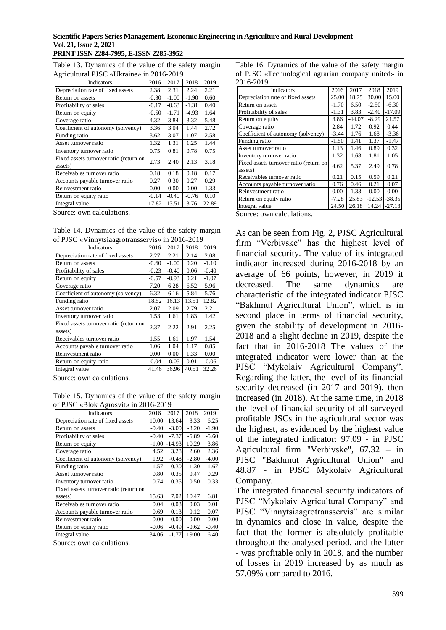#### **Scientific Papers Series Management, Economic Engineering in Agriculture and Rural Development Vol. 21, Issue 2, 2021 PRINT ISSN 2284-7995, E-ISSN 2285-3952**

|  |                                          |  |  |  | Table 13. Dynamics of the value of the safety margin |
|--|------------------------------------------|--|--|--|------------------------------------------------------|
|  | Agricultural PJSC «Ukraine» in 2016-2019 |  |  |  |                                                      |

| 2016    | 2017                                   | 2018    | 2019  |
|---------|----------------------------------------|---------|-------|
| 2.38    | 2.31                                   | 2.24    | 2.21  |
| $-0.30$ | $-1.00$                                | $-1.90$ | 0.60  |
| $-0.17$ | $-0.63$                                | $-1.31$ | 0.40  |
| $-0.50$ | $-1.71$                                | $-4.93$ | 1.64  |
| 4.32    | 3.84                                   | 3.32    | 5.48  |
| 3.36    | 3.04                                   | 1.44    | 2.72  |
| 3.62    | 3.07                                   | 1.07    | 2.58  |
| 1.32    | 1.31                                   | 1.25    | 1.44  |
| 0.75    | 0.81                                   | 0.78    | 0.75  |
| 2.73    | 2.40                                   | 2.13    | 3.18  |
| 0.18    | 0.18                                   | 0.18    | 0.17  |
| 0.27    | 0.30                                   | 0.27    | 0.29  |
| 0.00    | 0.00                                   | 0.00    | 1.33  |
| $-0.14$ | $-0.40$                                | $-0.76$ | 0.10  |
| 17.82   | 13.51                                  | 3.76    | 22.89 |
|         | Fixed assets turnover ratio (return on |         |       |

Source: own calculations.

Table 14. Dynamics of the value of the safety margin of PJSC «Vinnytsiaagrotransservis» in 2016-2019

| Indicators                                        | 2016    | 2017    | 2018  | 2019    |
|---------------------------------------------------|---------|---------|-------|---------|
| Depreciation rate of fixed assets                 | 2.27    | 2.21    | 2.14  | 2.08    |
| Return on assets                                  | $-0.60$ | $-1.00$ | 0.20  | $-1.10$ |
| Profitability of sales                            | $-0.23$ | $-0.40$ | 0.06  | $-0.40$ |
| Return on equity                                  | $-0.57$ | $-0.93$ | 0.21  | $-1.07$ |
| Coverage ratio                                    | 7.20    | 6.28    | 6.52  | 5.96    |
| Coefficient of autonomy (solvency)                | 6.32    | 6.16    | 5.84  | 5.76    |
| Funding ratio                                     | 18.52   | 16.13   | 13.51 | 12.82   |
| Asset turnover ratio                              | 2.07    | 2.09    | 2.79  | 2.21    |
| Inventory turnover ratio                          | 1.53    | 1.61    | 1.83  | 1.42    |
| Fixed assets turnover ratio (return on<br>assets) | 2.37    | 2.22    | 2.91  | 2.25    |
| Receivables turnover ratio                        | 1.55    | 1.61    | 1.97  | 1.54    |
| Accounts payable turnover ratio                   | 1.06    | 1.04    | 1.17  | 0.85    |
| Reinvestment ratio                                | 0.00    | 0.00    | 1.33  | 0.00    |
| Return on equity ratio                            | $-0.04$ | $-0.05$ | 0.01  | $-0.06$ |
| Integral value                                    | 41.46   | 36.96   | 40.51 | 32.26   |

Source: own calculations.

Table 15. Dynamics of the value of the safety margin of PJSC «Blok Agrosvit» in 2016-2019

| Indicators                             | 2016    | 2017     | 2018    | 2019    |
|----------------------------------------|---------|----------|---------|---------|
| Depreciation rate of fixed assets      | 10.00   | 13.64    | 8.33    | 6.25    |
| Return on assets                       | $-0.40$ | $-3.00$  | $-3.20$ | $-1.90$ |
| Profitability of sales                 | $-0.40$ | $-7.37$  | $-5.89$ | $-5.60$ |
| Return on equity                       | $-1.00$ | $-14.93$ | 10.29   | 3.86    |
| Coverage ratio                         | 4.52    | 3.28     | 2.60    | 2.36    |
| Coefficient of autonomy (solvency)     | 1.92    | $-0.48$  | $-2.80$ | $-4.00$ |
| Funding ratio                          | 1.57    | $-0.30$  | $-1.30$ | $-1.67$ |
| Asset turnover ratio                   | 0.80    | 0.35     | 0.47    | 0.29    |
| Inventory turnover ratio               | 0.74    | 0.35     | 0.50    | 0.33    |
| Fixed assets turnover ratio (return on |         |          |         |         |
| assets)                                | 15.63   | 7.02     | 10.47   | 6.81    |
| Receivables turnover ratio             | 0.04    | 0.03     | 0.03    | 0.01    |
| Accounts payable turnover ratio        | 0.69    | 0.13     | 0.12    | 0.07    |
| Reinvestment ratio                     | 0.00    | 0.00     | 0.00    | 0.00    |
| Return on equity ratio                 | $-0.06$ | $-0.49$  | $-0.62$ | $-0.40$ |
| Integral value                         | 34.06   | $-1.77$  | 19.00   | 6.40    |

Source: own calculations.

Table 16. Dynamics of the value of the safety margin of PJSC «Technological agrarian company united» in 2016-2019

| 20102017                                          |         |          |          |          |
|---------------------------------------------------|---------|----------|----------|----------|
| Indicators                                        | 2016    | 2017     | 2018     | 2019     |
| Depreciation rate of fixed assets                 | 25.00   | 18.75    | 30.00    | 15.00    |
| Return on assets                                  | $-1.70$ | 6.50     | $-2.50$  | $-6.30$  |
| Profitability of sales                            | $-1.31$ | 3.83     | $-2.40$  | $-17.09$ |
| Return on equity                                  | 3.86    | $-44.07$ | $-8.29$  | 21.57    |
| Coverage ratio                                    | 2.84    | 1.72     | 0.92     | 0.44     |
| Coefficient of autonomy (solvency)                | $-3.44$ | 1.76     | 1.68     | $-3.36$  |
| Funding ratio                                     | $-1.50$ | 1.41     | 1.37     | $-1.47$  |
| Asset turnover ratio                              | 1.13    | 1.46     | 0.89     | 0.32     |
| Inventory turnover ratio                          | 1.32    | 1.68     | 1.81     | 1.05     |
| Fixed assets turnover ratio (return on<br>assets) | 4.62    | 5.37     | 2.49     | 0.78     |
| Receivables turnover ratio                        | 0.21    | 0.15     | 0.59     | 0.21     |
| Accounts payable turnover ratio                   | 0.76    | 0.46     | 0.21     | 0.07     |
| Reinvestment ratio                                | 0.00    | 1.33     | 0.00     | 0.00     |
| Return on equity ratio                            | $-7.28$ | 25.83    | $-12.53$ | $-38.35$ |
| Integral value                                    | 24.50   | 26.18    | 14.24    | $-27.13$ |
|                                                   |         |          |          |          |

Source: own calculations.

As can be seen from Fig. 2, PJSC Agricultural firm "Verbivske" has the highest level of financial security. The value of its integrated indicator increased during 2016-2018 by an average of 66 points, however, in 2019 it decreased. The same dynamics are characteristic of the integrated indicator PJSC "Bakhmut Agricultural Union", which is in second place in terms of financial security, given the stability of development in 2016- 2018 and a slight decline in 2019, despite the fact that in 2016-2018 The values of the integrated indicator were lower than at the PJSC "Mykolaiv Agricultural Company". Regarding the latter, the level of its financial security decreased (in 2017 and 2019), then increased (in 2018). At the same time, in 2018 the level of financial security of all surveyed profitable JSCs in the agricultural sector was the highest, as evidenced by the highest value of the integrated indicator: 97.09 - in PJSC Agricultural firm "Verbivske", 67.32 – in PJSC "Bakhmut Agricultural Union" and 48.87 - in PJSC Mykolaiv Agricultural Company.

The integrated financial security indicators of PJSC "Mykolaiv Agricultural Company" and PJSC "Vinnytsiaagrotransservis" are similar in dynamics and close in value, despite the fact that the former is absolutely profitable throughout the analysed period, and the latter - was profitable only in 2018, and the number of losses in 2019 increased by as much as 57.09% compared to 2016.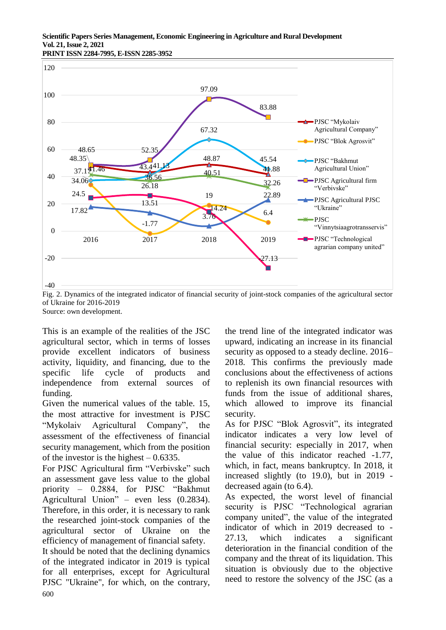**PRINT ISSN 2284-7995, E-ISSN 2285-3952** 



Fig. 2. Dynamics of the integrated indicator of financial security of joint-stock companies of the agricultural sector of Ukraine for 2016-2019 Source: own development.

This is an example of the realities of the JSC agricultural sector, which in terms of losses provide excellent indicators of business activity, liquidity, and financing, due to the specific life cycle of products and independence from external sources of funding.

Given the numerical values of the table. 15, the most attractive for investment is PJSC "Mykolaiv Agricultural Company", the assessment of the effectiveness of financial security management, which from the position of the investor is the highest  $-0.6335$ .

For PJSC Agricultural firm "Verbivske" such an assessment gave less value to the global priority – 0.2884, for PJSC "Bakhmut Agricultural Union" – even less (0.2834). Therefore, in this order, it is necessary to rank the researched joint-stock companies of the agricultural sector of Ukraine on the efficiency of management of financial safety.

600 It should be noted that the declining dynamics of the integrated indicator in 2019 is typical for all enterprises, except for Agricultural PJSC "Ukraine", for which, on the contrary,

the trend line of the integrated indicator was upward, indicating an increase in its financial security as opposed to a steady decline. 2016– 2018. This confirms the previously made conclusions about the effectiveness of actions to replenish its own financial resources with funds from the issue of additional shares, which allowed to improve its financial security.

As for PJSC "Blok Agrosvit", its integrated indicator indicates a very low level of financial security: especially in 2017, when the value of this indicator reached -1.77, which, in fact, means bankruptcy. In 2018, it increased slightly (to 19.0), but in 2019 decreased again (to 6.4).

As expected, the worst level of financial security is PJSC "Technological agrarian company united", the value of the integrated indicator of which in 2019 decreased to - 27.13, which indicates a significant deterioration in the financial condition of the company and the threat of its liquidation. This situation is obviously due to the objective need to restore the solvency of the JSC (as a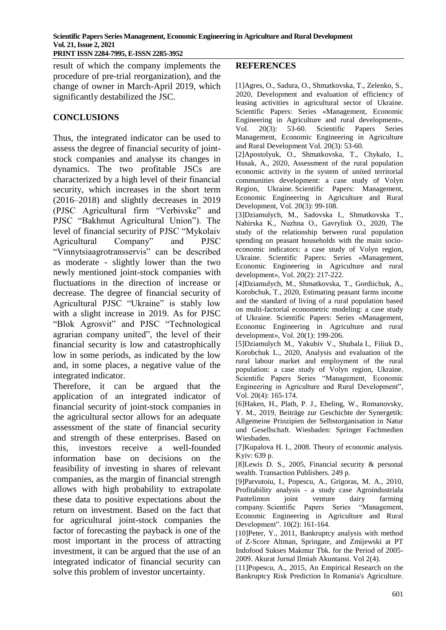**PRINT ISSN 2284-7995, E-ISSN 2285-3952** 

result of which the company implements the procedure of pre-trial reorganization), and the change of owner in March-April 2019, which significantly destabilized the JSC.

## **CONCLUSIONS**

Thus, the integrated indicator can be used to assess the degree of financial security of jointstock companies and analyse its changes in dynamics. The two profitable JSCs are characterized by a high level of their financial security, which increases in the short term (2016–2018) and slightly decreases in 2019 (PJSC Agricultural firm "Verbivske" and PJSC "Bakhmut Agricultural Union"). The level of financial security of PJSC "Mykolaiv Agricultural Company" and PJSC "Vinnytsiaagrotransservis" can be described as moderate - slightly lower than the two newly mentioned joint-stock companies with fluctuations in the direction of increase or decrease. The degree of financial security of Agricultural PJSC "Ukraine" is stably low with a slight increase in 2019. As for PJSC "Blok Agrosvit" and PJSC "Technological agrarian company united", the level of their financial security is low and catastrophically low in some periods, as indicated by the low and, in some places, a negative value of the integrated indicator.

Therefore, it can be argued that the application of an integrated indicator of financial security of joint-stock companies in the agricultural sector allows for an adequate assessment of the state of financial security and strength of these enterprises. Based on this, investors receive a well-founded information base on decisions on the feasibility of investing in shares of relevant companies, as the margin of financial strength allows with high probability to extrapolate these data to positive expectations about the return on investment. Based on the fact that for agricultural joint-stock companies the factor of forecasting the payback is one of the most important in the process of attracting investment, it can be argued that the use of an integrated indicator of financial security can solve this problem of investor uncertainty.

## **REFERENCES**

[1]Agres, O., Sadura, O., Shmatkovska, T., Zelenko, S., 2020, Development and evaluation of efficiency of leasing activities in agricultural sector of Ukraine. Scientific Papers: Series «Management, Economic Engineering in Agriculture and rural development», Vol. 20(3): 53-60. Scientific Papers Series Management, Economic Engineering in Agriculture and Rural Development Vol. 20(3): 53-60.

[2]Apostolyuk, O., Shmatkovska, T., Chykalo, I., Husak, A., 2020, Assessment of the rural population economic activity in the system of united territorial communities development: a case study of Volyn Region, Ukraine. Scientific Papers: Management, Economic Engineering in Agriculture and Rural Development, Vol. 20(3): 99-108.

[3]Dziamulych, M., Sadovska I., Shmatkovska T., Nahirska K., Nuzhna O., Gavryliuk O., 2020, The study of the relationship between rural population spending on peasant households with the main socioeconomic indicators: a case study of Volyn region, Ukraine. Scientific Papers: Series «Management, Economic Engineering in Agriculture and rural development», Vol. 20(2): 217-222.

[4]Dziamulych, M., Shmatkovska, T., Gordiichuk, A., Korobchuk, T., 2020, Estimating peasant farms income and the standard of living of a rural population based on multi-factorial econometric modeling: a case study of Ukraine. Scientific Papers: Series «Management, Economic Engineering in Agriculture and rural development», Vol. 20(1): 199-206.

[5]Dziamulych M., Yakubiv V., Shubala I., Filiuk D., Korobchuk L., 2020, Analysis and evaluation of the rural labour market and employment of the rural population: a case study of Volyn region, Ukraine. Scientific Papers Series "Management, Economic Engineering in Agriculture and Rural Development", Vol. 20(4): 165-174.

[6]Haken, H., Plath, P. J., Ebeling, W., Romanovsky, Y. M., 2019, Beiträge zur Geschichte der Synergetik: Allgemeine Prinzipien der Selbstorganisation in Natur und Gesellschaft. Wiesbaden: Springer Fachmedien Wiesbaden.

[7] Kupalova H. I., 2008. Theory of economic analysis. Kyiv: 639 p.

[8]Lewis D. S., 2005, Financial security & personal wealth. Transaction Publishers. 249 p.

[9]Parvutoiu, I., Popescu, A., Grigoras, M. A., 2010, Profitability analysis - a study case Agroindustriala Pantelimon joint venture dairy farming company. Scientific Papers Series "Management, Economic Engineering in Agriculture and Rural Development". 10(2): 161-164.

[10]Peter, Y., 2011, Bankruptcy analysis with method of Z-Score Altman, Springate, and Zmijewski at PT Indofood Sukses Makmur Tbk. for the Period of 2005- 2009. Akurat Jurnal Ilmiah Akuntansi. Vol 2(4).

[11]Popescu, A., 2015, An Empirical Research on the Bankruptcy Risk Prediction In Romania's Agriculture.